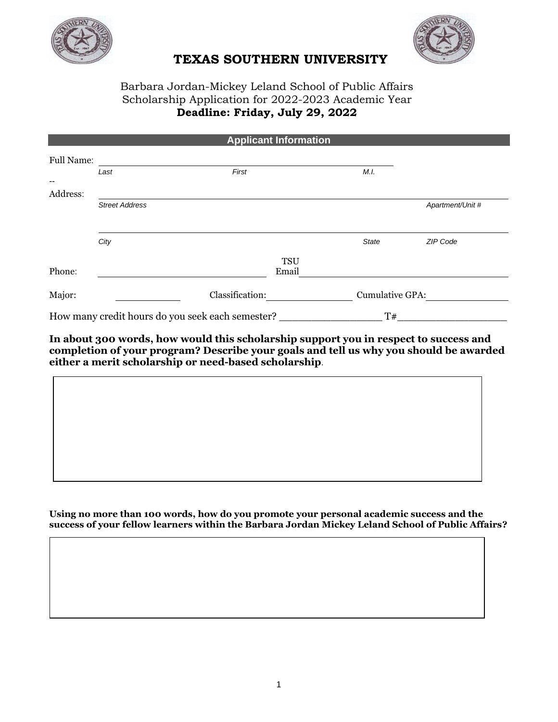



## **TEXAS SOUTHERN UNIVERSITY**

## Barbara Jordan-Mickey Leland School of Public Affairs Scholarship Application for 2022-2023 Academic Year **Deadline: Friday, July 29, 2022**

| <b>Applicant Information</b> |                       |                                                  |            |                 |                  |  |  |  |
|------------------------------|-----------------------|--------------------------------------------------|------------|-----------------|------------------|--|--|--|
| <b>Full Name:</b>            |                       |                                                  |            |                 |                  |  |  |  |
|                              | Last                  | First                                            |            | M.I.            |                  |  |  |  |
| --<br>Address:               |                       |                                                  |            |                 |                  |  |  |  |
|                              | <b>Street Address</b> |                                                  |            |                 | Apartment/Unit # |  |  |  |
|                              |                       |                                                  |            |                 |                  |  |  |  |
|                              | City                  |                                                  |            | <b>State</b>    | ZIP Code         |  |  |  |
|                              |                       |                                                  | <b>TSU</b> |                 |                  |  |  |  |
| Phone:                       |                       |                                                  | Email      |                 |                  |  |  |  |
| Major:                       |                       | Classification:                                  |            | Cumulative GPA: |                  |  |  |  |
|                              |                       | How many credit hours do you seek each semester? |            | T#              |                  |  |  |  |

**In about 300 words, how would this scholarship support you in respect to success and completion of your program? Describe your goals and tell us why you should be awarded either a merit scholarship or need-based scholarship**.

**Using no more than 100 words, how do you promote your personal academic success and the success of your fellow learners within the Barbara Jordan Mickey Leland School of Public Affairs?**